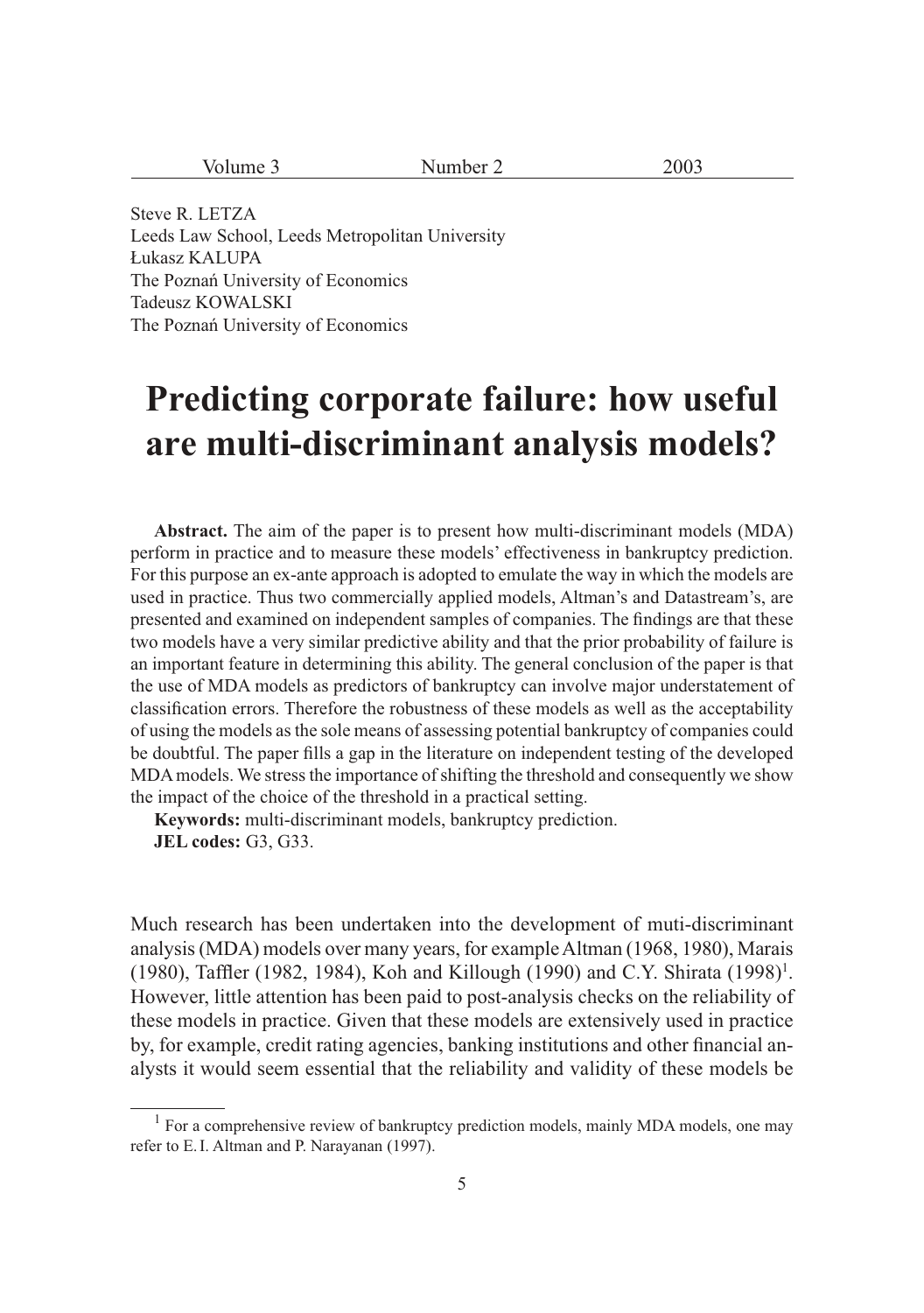| Volume 3                                                                                                             | Number 2 | 2003 |
|----------------------------------------------------------------------------------------------------------------------|----------|------|
|                                                                                                                      |          |      |
| Steve R. LETZA                                                                                                       |          |      |
| .<br>the contract of the contract of the contract of the contract of the contract of the contract of the contract of |          |      |

Leeds Law School, Leeds Metropolitan University Łukasz KALUPA The Poznań University of Economics Tadeusz KOWALSKI The Poznań University of Economics

# **Predicting corporate failure: how useful are multi-discriminant analysis models?**

**Abstract.** The aim of the paper is to present how multi-discriminant models (MDA) perform in practice and to measure these models' effectiveness in bankruptcy prediction. For this purpose an ex-ante approach is adopted to emulate the way in which the models are used in practice. Thus two commercially applied models, Altman's and Datastream's, are presented and examined on independent samples of companies. The findings are that these two models have a very similar predictive ability and that the prior probability of failure is an important feature in determining this ability. The general conclusion of the paper is that the use of MDA models as predictors of bankruptcy can involve major understatement of classification errors. Therefore the robustness of these models as well as the acceptability of using the models as the sole means of assessing potential bankruptcy of companies could be doubtful. The paper fills a gap in the literature on independent testing of the developed MDA models. We stress the importance of shifting the threshold and consequently we show the impact of the choice of the threshold in a practical setting.

**Keywords:** multi-discriminant models, bankruptcy prediction. **JEL codes:** G3, G33.

Much research has been undertaken into the development of muti-discriminant analysis (MDA) models over many years, for example Altman (1968, 1980), Marais (1980), Taffler (1982, 1984), Koh and Killough (1990) and C.Y. Shirata (1998)<sup>1</sup>. However, little attention has been paid to post-analysis checks on the reliability of these models in practice. Given that these models are extensively used in practice by, for example, credit rating agencies, banking institutions and other financial analysts it would seem essential that the reliability and validity of these models be

 $<sup>1</sup>$  For a comprehensive review of bankruptcy prediction models, mainly MDA models, one may</sup> refer to E. I. Altman and P. Narayanan (1997).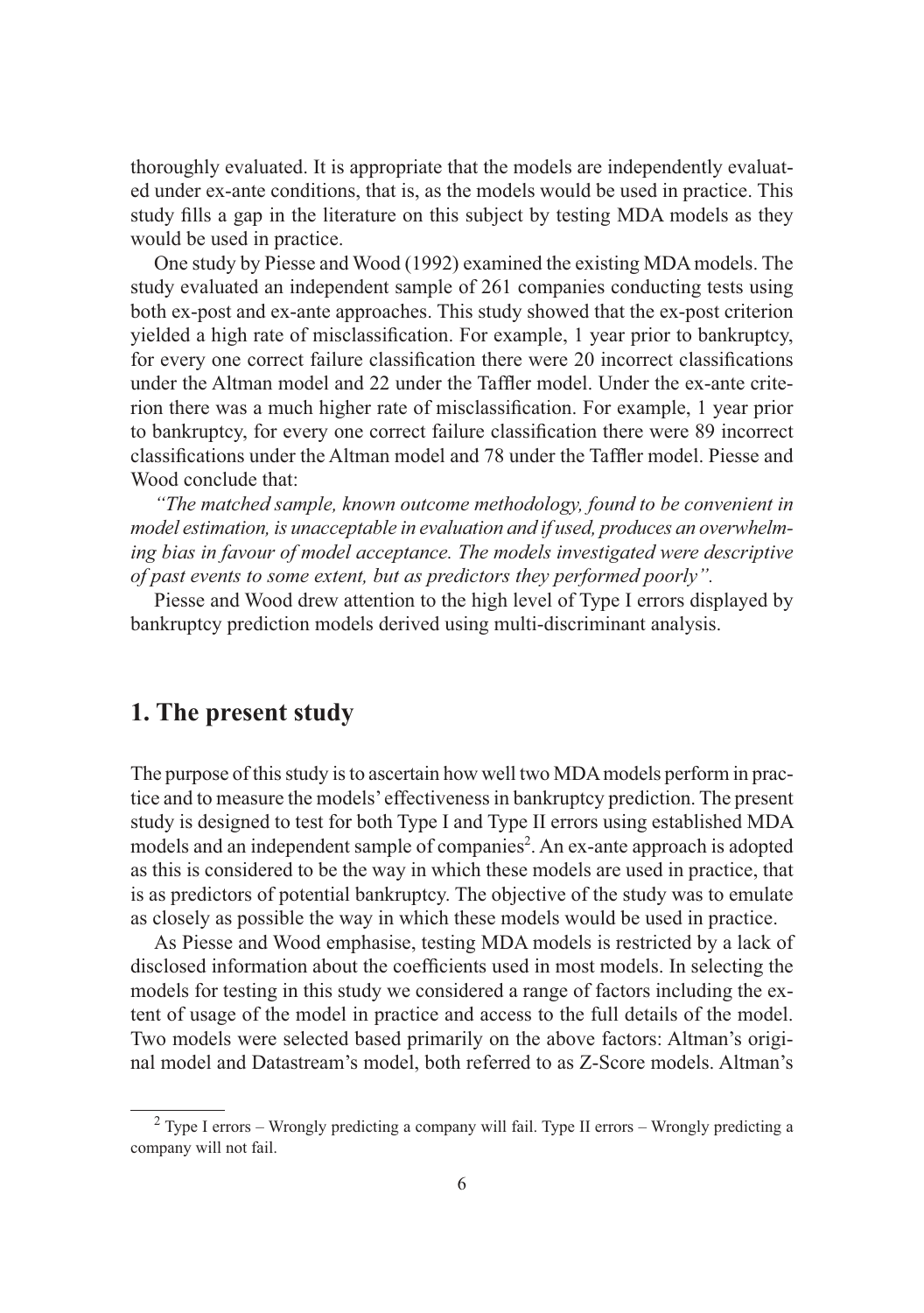thoroughly evaluated. It is appropriate that the models are independently evaluated under ex-ante conditions, that is, as the models would be used in practice. This study fills a gap in the literature on this subject by testing MDA models as they would be used in practice.

One study by Piesse and Wood (1992) examined the existing MDA models. The study evaluated an independent sample of 261 companies conducting tests using both ex-post and ex-ante approaches. This study showed that the ex-post criterion yielded a high rate of misclassification. For example, 1 year prior to bankruptcy, for every one correct failure classification there were 20 incorrect classifications under the Altman model and 22 under the Taffler model. Under the ex-ante criterion there was a much higher rate of misclassification. For example, 1 year prior to bankruptcy, for every one correct failure classification there were 89 incorrect classifications under the Altman model and 78 under the Taffler model. Piesse and Wood conclude that:

*"The matched sample, known outcome methodology, found to be convenient in model estimation, is unacceptable in evaluation and if used, produces an overwhelm*ing bias in favour of model acceptance. The models investigated were descriptive *of past events to some extent, but as predictors they performed poorly".*

Piesse and Wood drew attention to the high level of Type I errors displayed by bankruptcy prediction models derived using multi-discriminant analysis.

# **1. The present study**

The purpose of this study is to ascertain how well two MDA models perform in practice and to measure the models' effectiveness in bankruptcy prediction. The present study is designed to test for both Type I and Type II errors using established MDA models and an independent sample of companies<sup>2</sup>. An ex-ante approach is adopted as this is considered to be the way in which these models are used in practice, that is as predictors of potential bankruptcy. The objective of the study was to emulate as closely as possible the way in which these models would be used in practice.

As Piesse and Wood emphasise, testing MDA models is restricted by a lack of disclosed information about the coefficients used in most models. In selecting the models for testing in this study we considered a range of factors including the extent of usage of the model in practice and access to the full details of the model. Two models were selected based primarily on the above factors: Altman's original model and Datastream's model, both referred to as Z-Score models. Altman's

 $2$  Type I errors – Wrongly predicting a company will fail. Type II errors – Wrongly predicting a company will not fail.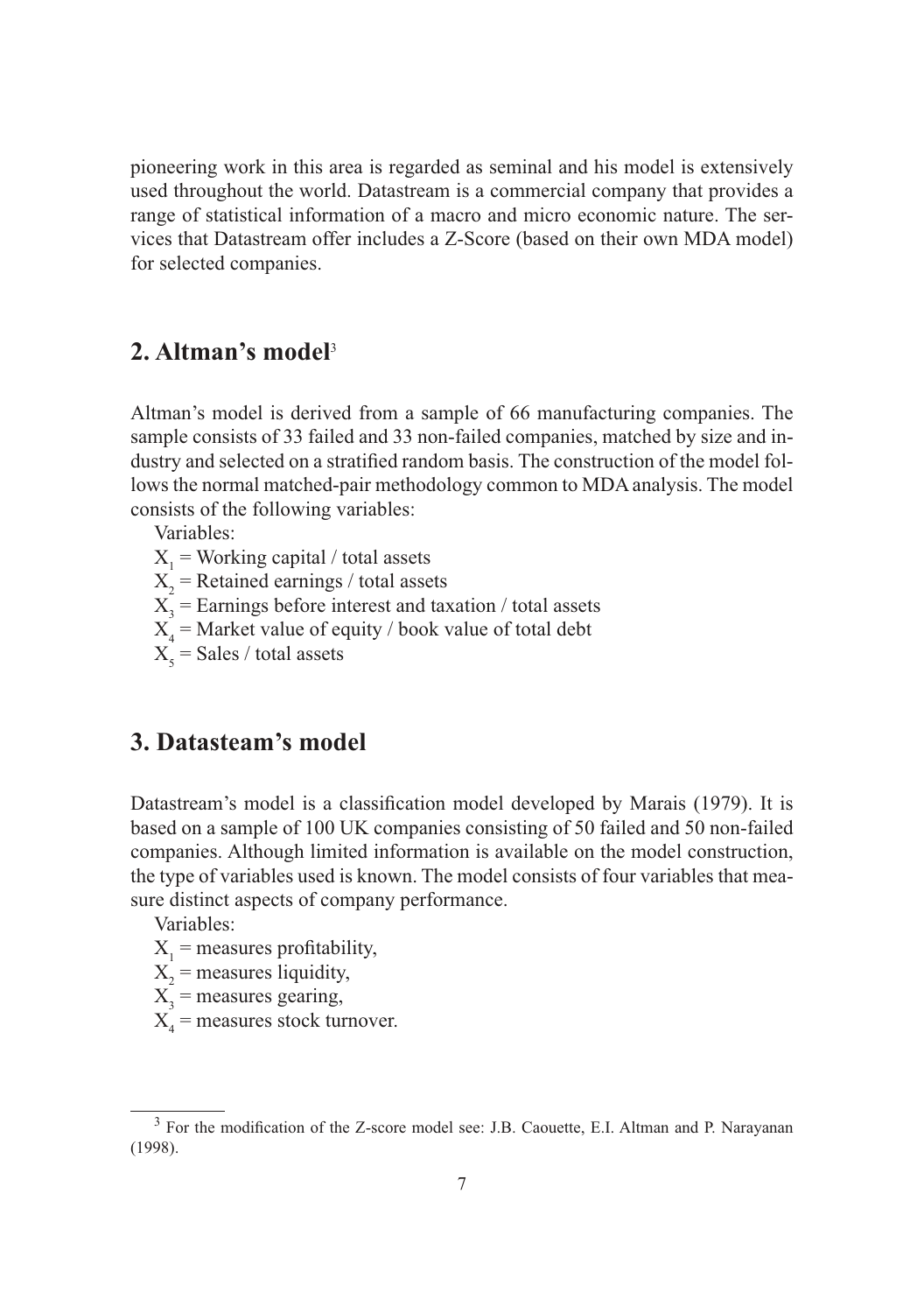pioneering work in this area is regarded as seminal and his model is extensively used throughout the world. Datastream is a commercial company that provides a range of statistical information of a macro and micro economic nature. The services that Datastream offer includes a Z-Score (based on their own MDA model) for selected companies.

# **2. Altman's model**<sup>3</sup>

Altman's model is derived from a sample of 66 manufacturing companies. The sample consists of 33 failed and 33 non-failed companies, matched by size and industry and selected on a stratified random basis. The construction of the model follows the normal matched-pair methodology common to MDA analysis. The model consists of the following variables:

Variables:

- $X_1$  = Working capital / total assets
- $X_2$  = Retained earnings / total assets
- $X_3$  = Earnings before interest and taxation / total assets
- $X_4$  = Market value of equity / book value of total debt
- $X_{5}$  = Sales / total assets

### **3. Datasteam's model**

Datastream's model is a classification model developed by Marais (1979). It is based on a sample of 100 UK companies consisting of 50 failed and 50 non-failed companies. Although limited information is available on the model construction, the type of variables used is known. The model consists of four variables that measure distinct aspects of company performance.

Variables:

- $X_1$  = measures profitability,
- $X_2$  = measures liquidity,
- $X_3$  = measures gearing,
- $X_4$  = measures stock turnover.

 $3$  For the modification of the Z-score model see: J.B. Caouette, E.I. Altman and P. Narayanan (1998).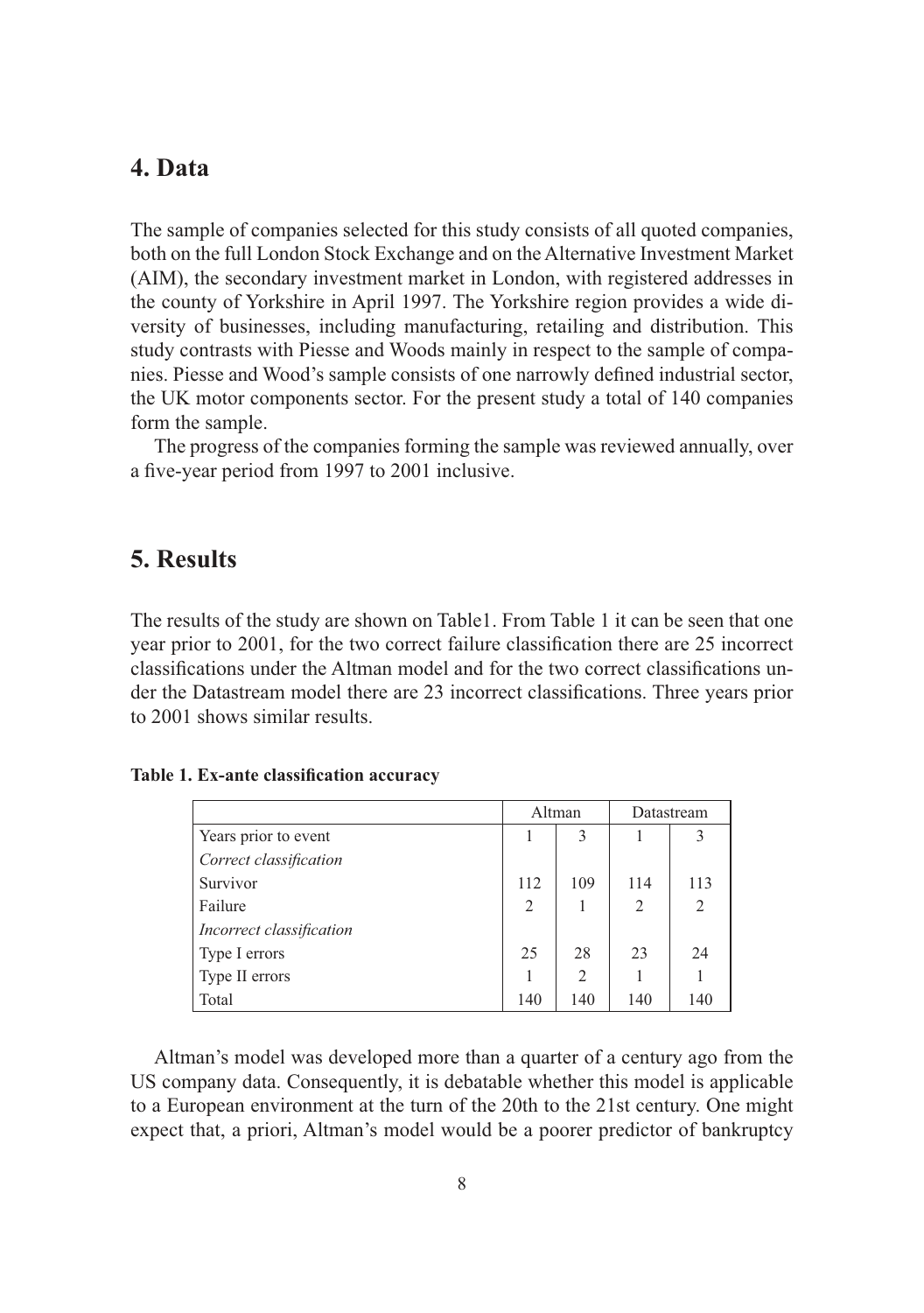#### **4. Data**

The sample of companies selected for this study consists of all quoted companies, both on the full London Stock Exchange and on the Alternative Investment Market (AIM), the secondary investment market in London, with registered addresses in the county of Yorkshire in April 1997. The Yorkshire region provides a wide diversity of businesses, including manufacturing, retailing and distribution. This study contrasts with Piesse and Woods mainly in respect to the sample of companies. Piesse and Wood's sample consists of one narrowly defined industrial sector, the UK motor components sector. For the present study a total of 140 companies form the sample.

The progress of the companies forming the sample was reviewed annually, over a five-year period from 1997 to 2001 inclusive.

### **5. Results**

The results of the study are shown on Table1. From Table 1 it can be seen that one year prior to 2001, for the two correct failure classification there are 25 incorrect classifications under the Altman model and for the two correct classifications under the Datastream model there are 23 incorrect classifications. Three years prior to 2001 shows similar results.

|                          | Altman         |                | Datastream     |                |
|--------------------------|----------------|----------------|----------------|----------------|
| Years prior to event     |                | 3              |                | 3              |
| Correct classification   |                |                |                |                |
| Survivor                 | 112            | 109            | 114            | 113            |
| Failure                  | $\overline{2}$ |                | $\overline{2}$ | $\overline{2}$ |
| Incorrect classification |                |                |                |                |
| Type I errors            | 25             | 28             | 23             | 24             |
| Type II errors           |                | $\overline{2}$ |                |                |
| Total                    | 140            | 140            | 140            | 140            |

#### Table 1. Ex-ante classification accuracy

Altman's model was developed more than a quarter of a century ago from the US company data. Consequently, it is debatable whether this model is applicable to a European environment at the turn of the 20th to the 21st century. One might expect that, a priori, Altman's model would be a poorer predictor of bankruptcy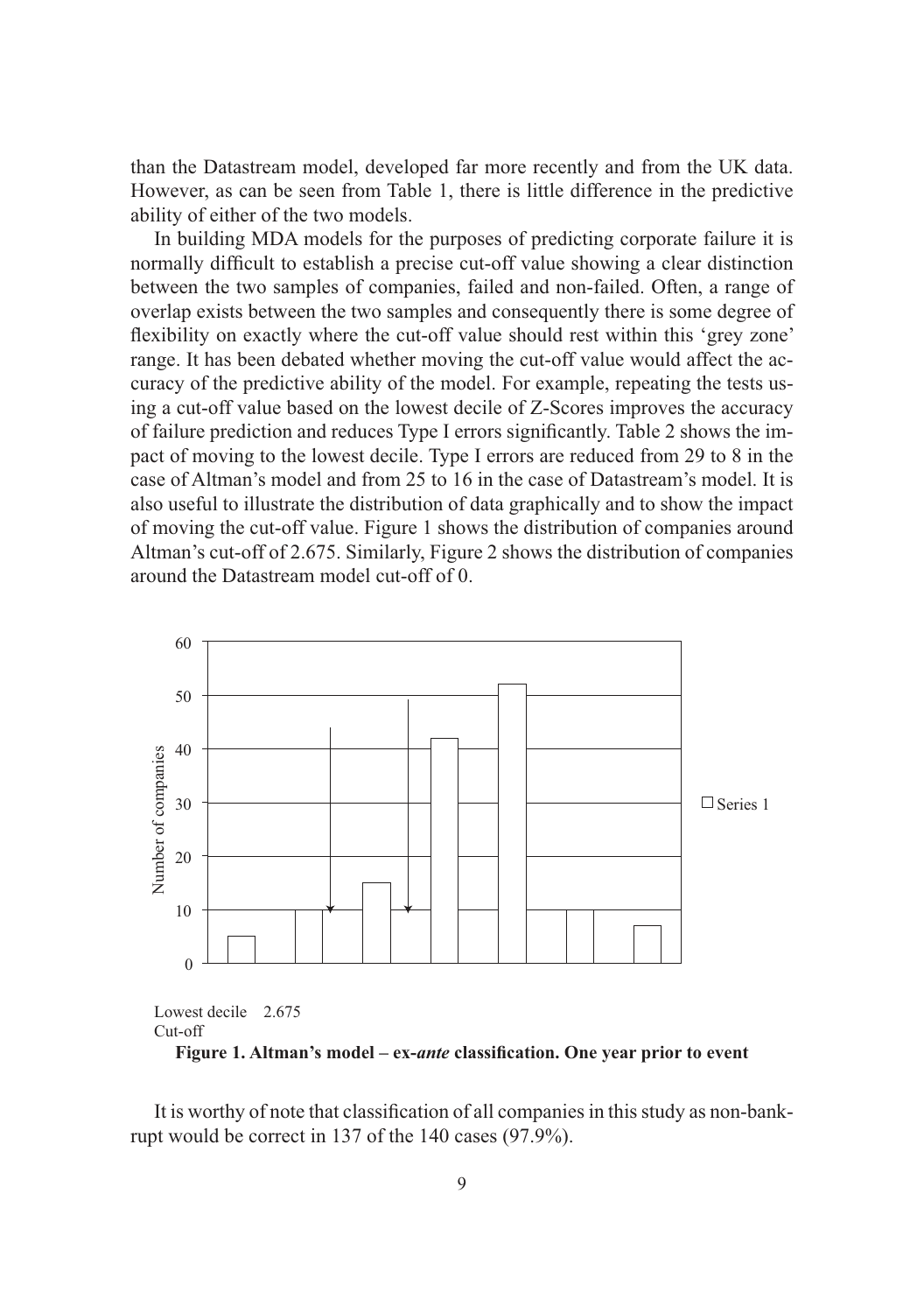than the Datastream model, developed far more recently and from the UK data. However, as can be seen from Table 1, there is little difference in the predictive ability of either of the two models.

In building MDA models for the purposes of predicting corporate failure it is normally difficult to establish a precise cut-off value showing a clear distinction between the two samples of companies, failed and non-failed. Often, a range of overlap exists between the two samples and consequently there is some degree of flexibility on exactly where the cut-off value should rest within this 'grey zone' range. It has been debated whether moving the cut-off value would affect the accuracy of the predictive ability of the model. For example, repeating the tests using a cut-off value based on the lowest decile of Z-Scores improves the accuracy of failure prediction and reduces Type I errors signifi cantly. Table 2 shows the impact of moving to the lowest decile. Type I errors are reduced from 29 to 8 in the case of Altman's model and from 25 to 16 in the case of Datastream's model. It is also useful to illustrate the distribution of data graphically and to show the impact of moving the cut-off value. Figure 1 shows the distribution of companies around Altman's cut-off of 2.675. Similarly, Figure 2 shows the distribution of companies around the Datastream model cut-off of 0.



Cut-off

Figure 1. Altman's model – ex-*ante* classification. One year prior to event

It is worthy of note that classification of all companies in this study as non-bankrupt would be correct in 137 of the 140 cases (97.9%).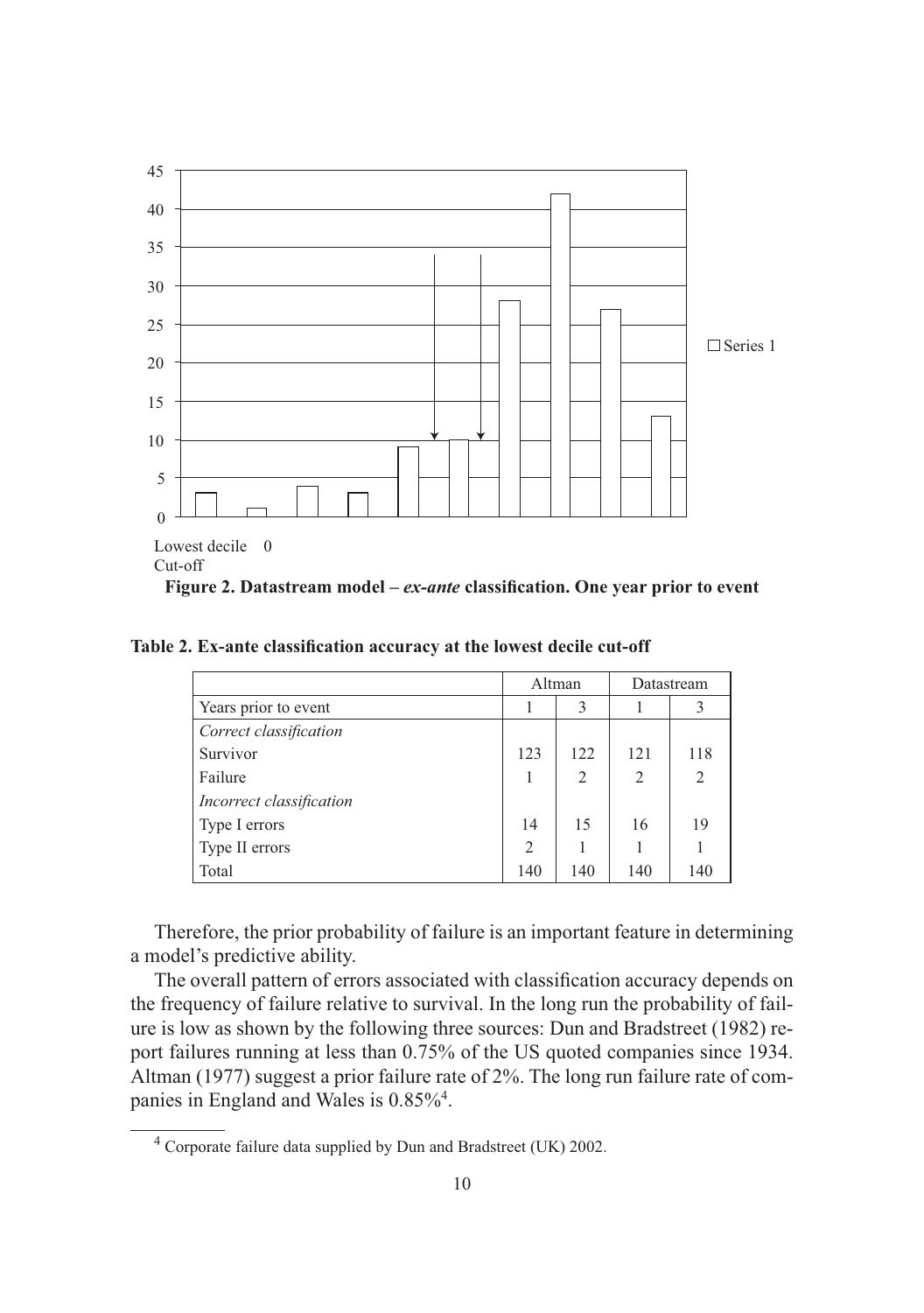

Table 2. Ex-ante classification accuracy at the lowest decile cut-off

|                          | Altman         |     | Datastream |                |
|--------------------------|----------------|-----|------------|----------------|
| Years prior to event     |                | 3   |            | 3              |
| Correct classification   |                |     |            |                |
| Survivor                 | 123            | 122 | 121        | 118            |
| Failure                  | 1              | 2   | 2          | $\overline{2}$ |
| Incorrect classification |                |     |            |                |
| Type I errors            | 14             | 15  | 16         | 19             |
| Type II errors           | $\overline{2}$ |     |            |                |
| Total                    | 140            | 140 | 140        | 140            |

Therefore, the prior probability of failure is an important feature in determining a model's predictive ability.

The overall pattern of errors associated with classification accuracy depends on the frequency of failure relative to survival. In the long run the probability of failure is low as shown by the following three sources: Dun and Bradstreet (1982) report failures running at less than 0.75% of the US quoted companies since 1934. Altman (1977) suggest a prior failure rate of 2%. The long run failure rate of companies in England and Wales is 0.85%<sup>4</sup>.

 $4$  Corporate failure data supplied by Dun and Bradstreet (UK) 2002.